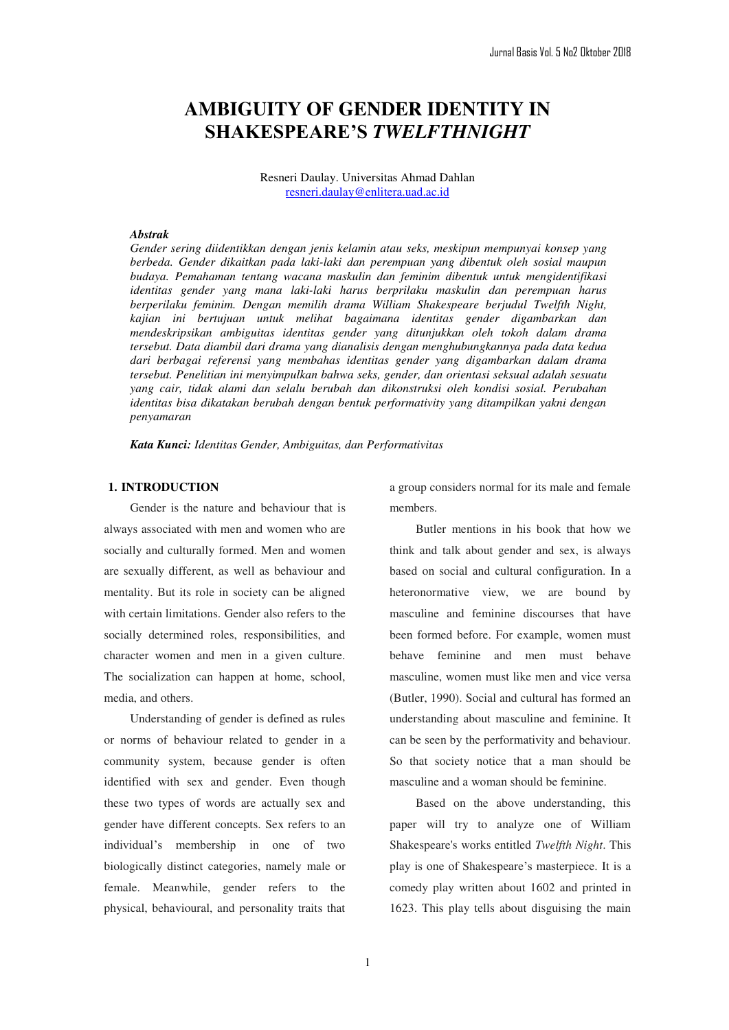# **AMBIGUITY OF GENDER IDENTITY IN 6+\$.(63(\$5(¶6***TWELFTHNIGHT*

Resneri Daulay. Universitas Ahmad Dahlan resneri.daulay@enlitera.uad.ac.id

#### *Abstrak*

*Gender sering diidentikkan dengan jenis kelamin atau seks, meskipun mempunyai konsep yang berbeda. Gender dikaitkan pada laki-laki dan perempuan yang dibentuk oleh sosial maupun budaya. Pemahaman tentang wacana maskulin dan feminim dibentuk untuk mengidentifikasi identitas gender yang mana laki-laki harus berprilaku maskulin dan perempuan harus berperilaku feminim. Dengan memilih drama William Shakespeare berjudul Twelfth Night, kajian ini bertujuan untuk melihat bagaimana identitas gender digambarkan dan mendeskripsikan ambiguitas identitas gender yang ditunjukkan oleh tokoh dalam drama tersebut. Data diambil dari drama yang dianalisis dengan menghubungkannya pada data kedua dari berbagai referensi yang membahas identitas gender yang digambarkan dalam drama tersebut. Penelitian ini menyimpulkan bahwa seks, gender, dan orientasi seksual adalah sesuatu yang cair, tidak alami dan selalu berubah dan dikonstruksi oleh kondisi sosial. Perubahan identitas bisa dikatakan berubah dengan bentuk performativity yang ditampilkan yakni dengan penyamaran* 

*Kata Kunci: Identitas Gender, Ambiguitas, dan Performativitas* 

# **1. INTRODUCTION**

Gender is the nature and behaviour that is always associated with men and women who are socially and culturally formed. Men and women are sexually different, as well as behaviour and mentality. But its role in society can be aligned with certain limitations. Gender also refers to the socially determined roles, responsibilities, and character women and men in a given culture. The socialization can happen at home, school, media, and others.

Understanding of gender is defined as rules or norms of behaviour related to gender in a community system, because gender is often identified with sex and gender. Even though these two types of words are actually sex and gender have different concepts. Sex refers to an individual's membership in one of two biologically distinct categories, namely male or female. Meanwhile, gender refers to the physical, behavioural, and personality traits that a group considers normal for its male and female members.

Butler mentions in his book that how we think and talk about gender and sex, is always based on social and cultural configuration. In a heteronormative view, we are bound by masculine and feminine discourses that have been formed before. For example, women must behave feminine and men must behave masculine, women must like men and vice versa (Butler, 1990). Social and cultural has formed an understanding about masculine and feminine. It can be seen by the performativity and behaviour. So that society notice that a man should be masculine and a woman should be feminine.

Based on the above understanding, this paper will try to analyze one of William Shakespeare's works entitled *Twelfth Night*. This play is one of Shakespeare's masterpiece. It is a comedy play written about 1602 and printed in 1623. This play tells about disguising the main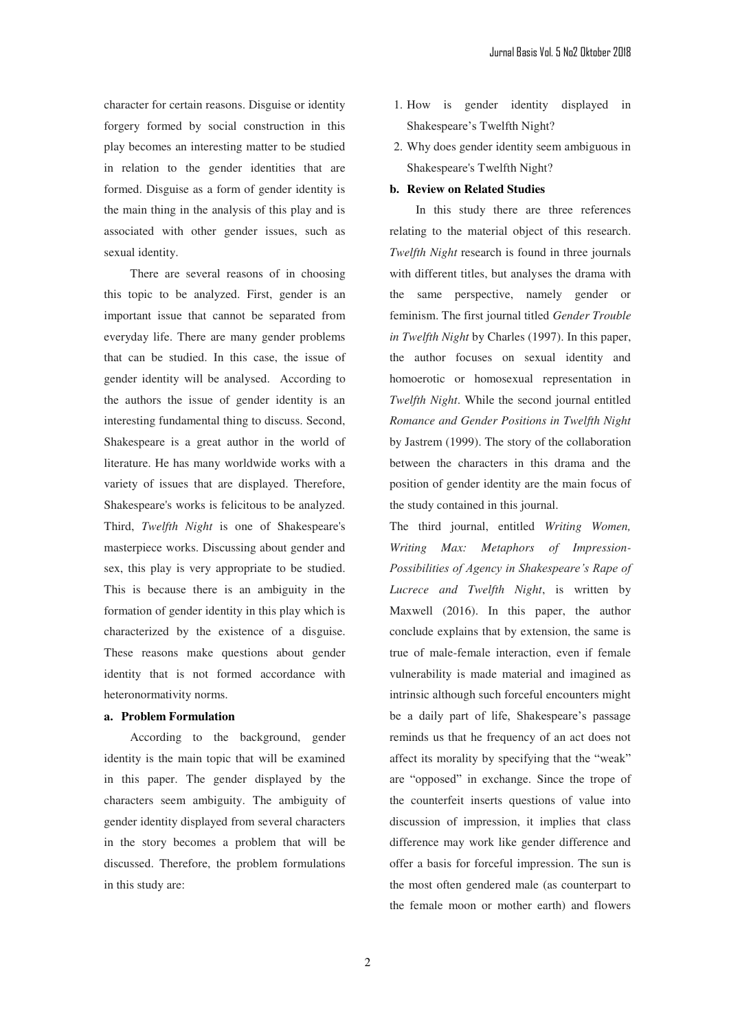character for certain reasons. Disguise or identity forgery formed by social construction in this play becomes an interesting matter to be studied in relation to the gender identities that are formed. Disguise as a form of gender identity is the main thing in the analysis of this play and is associated with other gender issues, such as sexual identity.

There are several reasons of in choosing this topic to be analyzed. First, gender is an important issue that cannot be separated from everyday life. There are many gender problems that can be studied. In this case, the issue of gender identity will be analysed. According to the authors the issue of gender identity is an interesting fundamental thing to discuss. Second, Shakespeare is a great author in the world of literature. He has many worldwide works with a variety of issues that are displayed. Therefore, Shakespeare's works is felicitous to be analyzed. Third, *Twelfth Night* is one of Shakespeare's masterpiece works. Discussing about gender and sex, this play is very appropriate to be studied. This is because there is an ambiguity in the formation of gender identity in this play which is characterized by the existence of a disguise. These reasons make questions about gender identity that is not formed accordance with heteronormativity norms.

# **a. Problem Formulation**

According to the background, gender identity is the main topic that will be examined in this paper. The gender displayed by the characters seem ambiguity. The ambiguity of gender identity displayed from several characters in the story becomes a problem that will be discussed. Therefore, the problem formulations in this study are:

- 1. How is gender identity displayed in Shakespeare's Twelfth Night?
- 2. Why does gender identity seem ambiguous in Shakespeare's Twelfth Night?

#### **b. Review on Related Studies**

In this study there are three references relating to the material object of this research. *Twelfth Night* research is found in three journals with different titles, but analyses the drama with the same perspective, namely gender or feminism. The first journal titled *Gender Trouble in Twelfth Night* by Charles (1997). In this paper, the author focuses on sexual identity and homoerotic or homosexual representation in *Twelfth Night*. While the second journal entitled *Romance and Gender Positions in Twelfth Night* by Jastrem (1999). The story of the collaboration between the characters in this drama and the position of gender identity are the main focus of the study contained in this journal.

The third journal, entitled *Writing Women, Writing Max: Metaphors of Impression-*Possibilities of Agency in Shakespeare's Rape of *Lucrece and Twelfth Night*, is written by Maxwell (2016). In this paper, the author conclude explains that by extension, the same is true of male-female interaction, even if female vulnerability is made material and imagined as intrinsic although such forceful encounters might be a daily part of life, Shakespeare's passage reminds us that he frequency of an act does not affect its morality by specifying that the "weak" are "opposed" in exchange. Since the trope of the counterfeit inserts questions of value into discussion of impression, it implies that class difference may work like gender difference and offer a basis for forceful impression. The sun is the most often gendered male (as counterpart to the female moon or mother earth) and flowers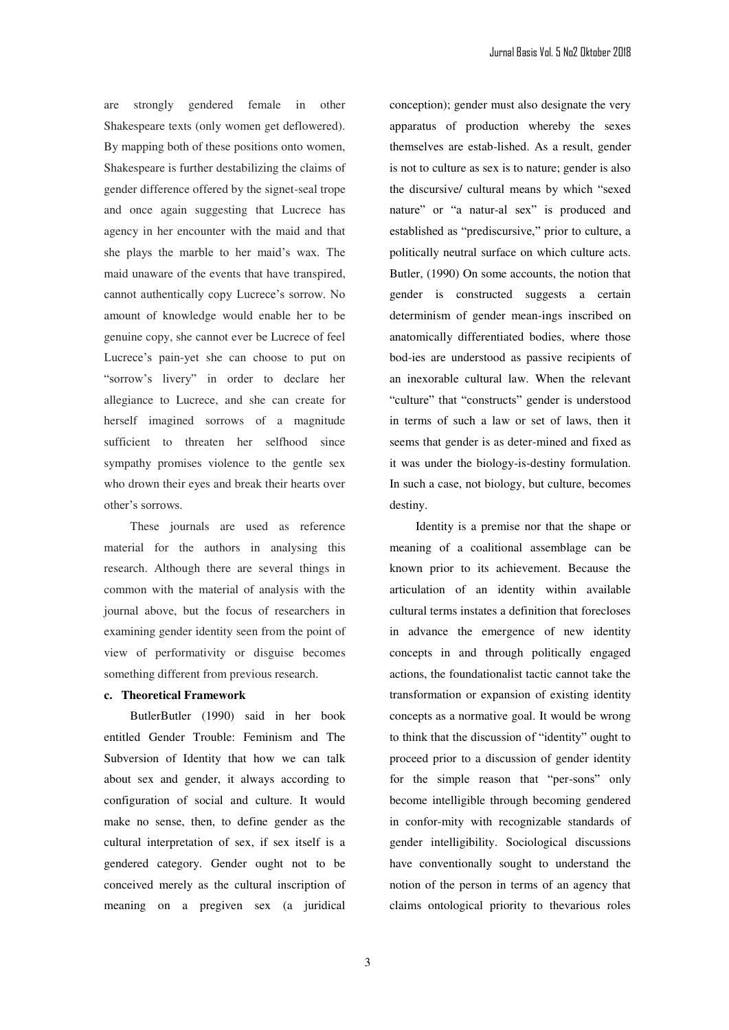are strongly gendered female in other Shakespeare texts (only women get deflowered). By mapping both of these positions onto women, Shakespeare is further destabilizing the claims of gender difference offered by the signet-seal trope and once again suggesting that Lucrece has agency in her encounter with the maid and that she plays the marble to her maid's wax. The maid unaware of the events that have transpired, cannot authentically copy Lucrece's sorrow. No amount of knowledge would enable her to be genuine copy, she cannot ever be Lucrece of feel Lucrece's pain-yet she can choose to put on "sorrow's livery" in order to declare her allegiance to Lucrece, and she can create for herself imagined sorrows of a magnitude sufficient to threaten her selfhood since sympathy promises violence to the gentle sex who drown their eyes and break their hearts over other's sorrows.

These journals are used as reference material for the authors in analysing this research. Although there are several things in common with the material of analysis with the journal above, but the focus of researchers in examining gender identity seen from the point of view of performativity or disguise becomes something different from previous research.

#### **c. Theoretical Framework**

ButlerButler (1990) said in her book entitled Gender Trouble: Feminism and The Subversion of Identity that how we can talk about sex and gender, it always according to configuration of social and culture. It would make no sense, then, to define gender as the cultural interpretation of sex, if sex itself is a gendered category. Gender ought not to be conceived merely as the cultural inscription of meaning on a pregiven sex (a juridical

conception); gender must also designate the very apparatus of production whereby the sexes themselves are estab-lished. As a result, gender is not to culture as sex is to nature; gender is also the discursive/ cultural means by which "sexed nature" or "a natur-al sex" is produced and established as "prediscursive," prior to culture, a politically neutral surface on which culture acts. Butler, (1990) On some accounts, the notion that gender is constructed suggests a certain determinism of gender mean-ings inscribed on anatomically differentiated bodies, where those bod-ies are understood as passive recipients of an inexorable cultural law. When the relevant "culture" that "constructs" gender is understood in terms of such a law or set of laws, then it seems that gender is as deter-mined and fixed as it was under the biology-is-destiny formulation. In such a case, not biology, but culture, becomes destiny.

Identity is a premise nor that the shape or meaning of a coalitional assemblage can be known prior to its achievement. Because the articulation of an identity within available cultural terms instates a definition that forecloses in advance the emergence of new identity concepts in and through politically engaged actions, the foundationalist tactic cannot take the transformation or expansion of existing identity concepts as a normative goal. It would be wrong to think that the discussion of "identity" ought to proceed prior to a discussion of gender identity for the simple reason that "per-sons" only become intelligible through becoming gendered in confor-mity with recognizable standards of gender intelligibility. Sociological discussions have conventionally sought to understand the notion of the person in terms of an agency that claims ontological priority to thevarious roles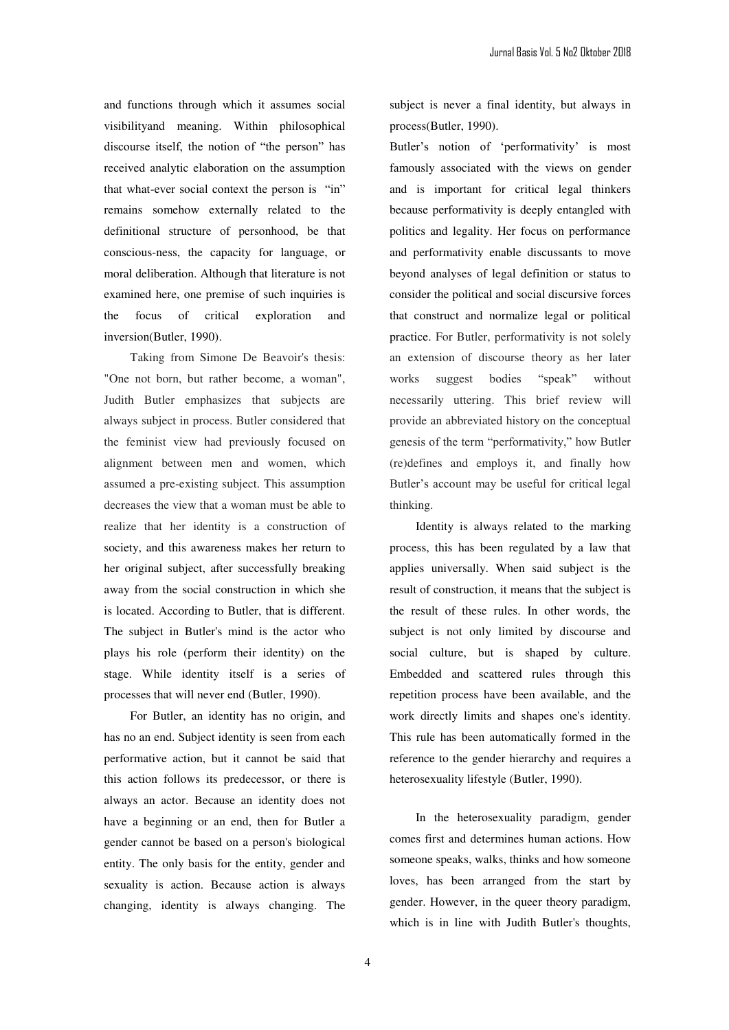and functions through which it assumes social visibilityand meaning. Within philosophical discourse itself, the notion of "the person" has received analytic elaboration on the assumption that what-ever social context the person is "in" remains somehow externally related to the definitional structure of personhood, be that conscious-ness, the capacity for language, or moral deliberation. Although that literature is not examined here, one premise of such inquiries is the focus of critical exploration and inversion(Butler, 1990).

Taking from Simone De Beavoir's thesis: "One not born, but rather become, a woman", Judith Butler emphasizes that subjects are always subject in process. Butler considered that the feminist view had previously focused on alignment between men and women, which assumed a pre-existing subject. This assumption decreases the view that a woman must be able to realize that her identity is a construction of society, and this awareness makes her return to her original subject, after successfully breaking away from the social construction in which she is located. According to Butler, that is different. The subject in Butler's mind is the actor who plays his role (perform their identity) on the stage. While identity itself is a series of processes that will never end (Butler, 1990).

For Butler, an identity has no origin, and has no an end. Subject identity is seen from each performative action, but it cannot be said that this action follows its predecessor, or there is always an actor. Because an identity does not have a beginning or an end, then for Butler a gender cannot be based on a person's biological entity. The only basis for the entity, gender and sexuality is action. Because action is always changing, identity is always changing. The

subject is never a final identity, but always in process(Butler, 1990).

Butler's notion of 'performativity' is most famously associated with the views on gender and is important for critical legal thinkers because performativity is deeply entangled with politics and legality. Her focus on performance and performativity enable discussants to move beyond analyses of legal definition or status to consider the political and social discursive forces that construct and normalize legal or political practice. For Butler, performativity is not solely an extension of discourse theory as her later works suggest bodies "speak" without necessarily uttering. This brief review will provide an abbreviated history on the conceptual genesis of the term "performativity," how Butler (re)defines and employs it, and finally how Butler's account may be useful for critical legal thinking.

Identity is always related to the marking process, this has been regulated by a law that applies universally. When said subject is the result of construction, it means that the subject is the result of these rules. In other words, the subject is not only limited by discourse and social culture, but is shaped by culture. Embedded and scattered rules through this repetition process have been available, and the work directly limits and shapes one's identity. This rule has been automatically formed in the reference to the gender hierarchy and requires a heterosexuality lifestyle (Butler, 1990).

In the heterosexuality paradigm, gender comes first and determines human actions. How someone speaks, walks, thinks and how someone loves, has been arranged from the start by gender. However, in the queer theory paradigm, which is in line with Judith Butler's thoughts,

4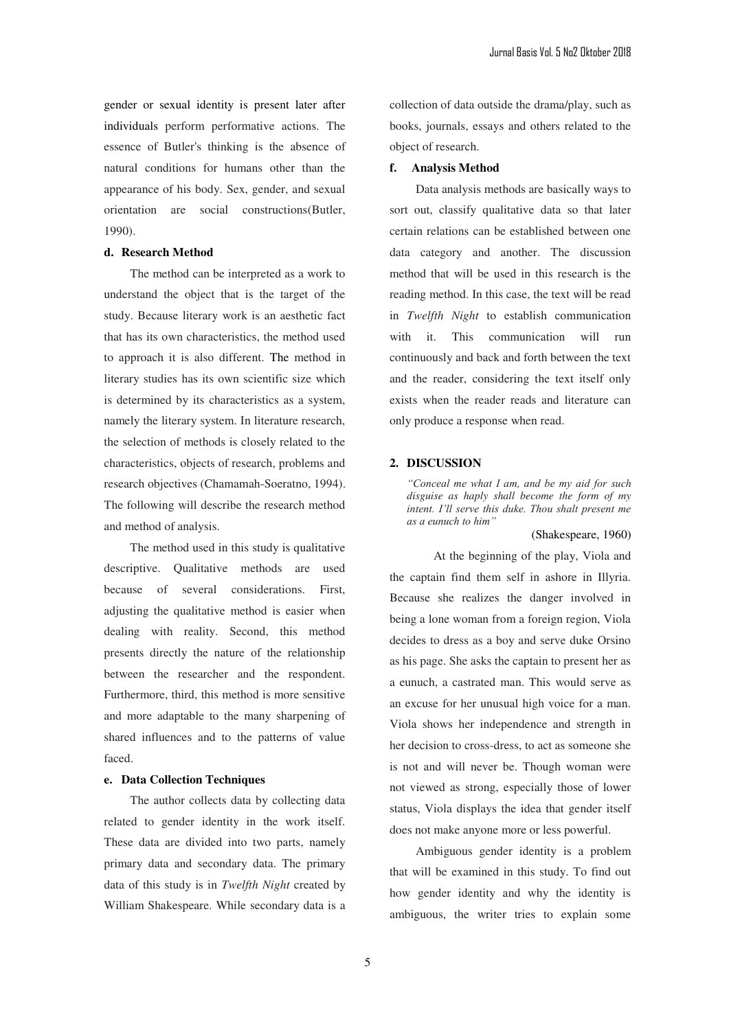gender or sexual identity is present later after individuals perform performative actions. The essence of Butler's thinking is the absence of natural conditions for humans other than the appearance of his body. Sex, gender, and sexual orientation are social constructions(Butler, 1990).

# **d. Research Method**

The method can be interpreted as a work to understand the object that is the target of the study. Because literary work is an aesthetic fact that has its own characteristics, the method used to approach it is also different. The method in literary studies has its own scientific size which is determined by its characteristics as a system, namely the literary system. In literature research, the selection of methods is closely related to the characteristics, objects of research, problems and research objectives (Chamamah-Soeratno, 1994). The following will describe the research method and method of analysis.

The method used in this study is qualitative descriptive. Qualitative methods are used because of several considerations. First, adjusting the qualitative method is easier when dealing with reality. Second, this method presents directly the nature of the relationship between the researcher and the respondent. Furthermore, third, this method is more sensitive and more adaptable to the many sharpening of shared influences and to the patterns of value faced.

# **e. Data Collection Techniques**

The author collects data by collecting data related to gender identity in the work itself. These data are divided into two parts, namely primary data and secondary data. The primary data of this study is in *Twelfth Night* created by William Shakespeare. While secondary data is a

collection of data outside the drama/play, such as books, journals, essays and others related to the object of research.

## **f. Analysis Method**

Data analysis methods are basically ways to sort out, classify qualitative data so that later certain relations can be established between one data category and another. The discussion method that will be used in this research is the reading method. In this case, the text will be read in *Twelfth Night* to establish communication with it. This communication will run continuously and back and forth between the text and the reader, considering the text itself only exists when the reader reads and literature can only produce a response when read.

#### **2. DISCUSSION**

*a*<sup>*s*</sup> Conceal me what I am, and be my aid for such *disguise as haply shall become the form of my intent. I'll serve this duke. Thou shalt present me as a eunuch to him*"

## (Shakespeare, 1960)

 At the beginning of the play, Viola and the captain find them self in ashore in Illyria. Because she realizes the danger involved in being a lone woman from a foreign region, Viola decides to dress as a boy and serve duke Orsino as his page. She asks the captain to present her as a eunuch, a castrated man. This would serve as an excuse for her unusual high voice for a man. Viola shows her independence and strength in her decision to cross-dress, to act as someone she is not and will never be. Though woman were not viewed as strong, especially those of lower status, Viola displays the idea that gender itself does not make anyone more or less powerful.

Ambiguous gender identity is a problem that will be examined in this study. To find out how gender identity and why the identity is ambiguous, the writer tries to explain some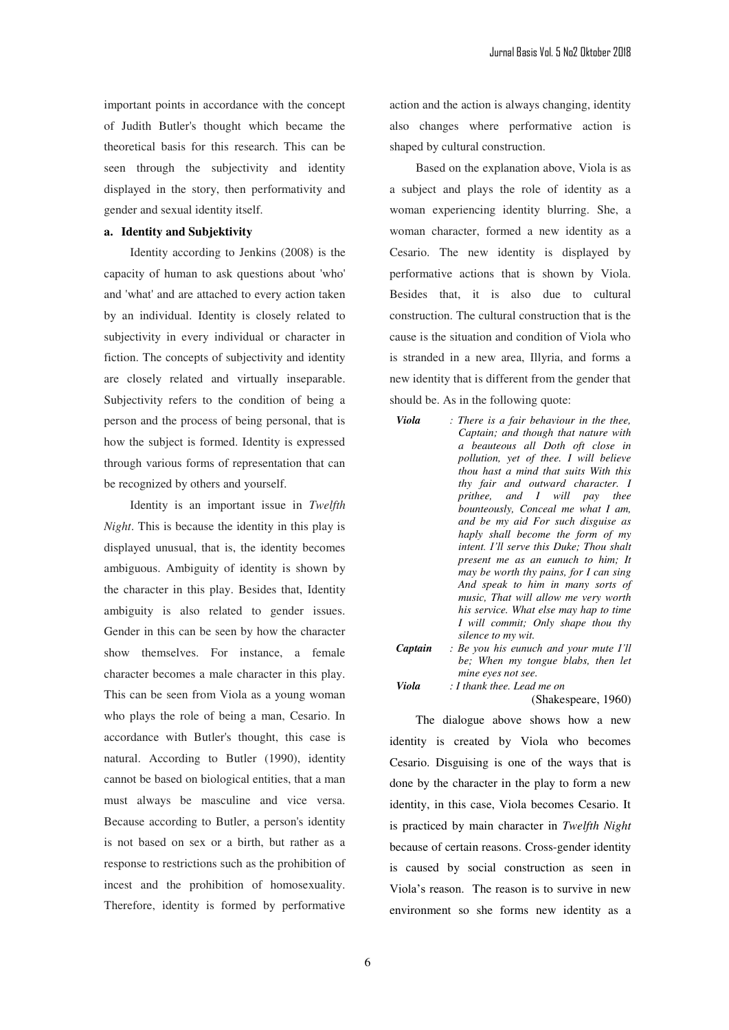important points in accordance with the concept of Judith Butler's thought which became the theoretical basis for this research. This can be seen through the subjectivity and identity displayed in the story, then performativity and gender and sexual identity itself.

# **a. Identity and Subjektivity**

Identity according to Jenkins (2008) is the capacity of human to ask questions about 'who' and 'what' and are attached to every action taken by an individual. Identity is closely related to subjectivity in every individual or character in fiction. The concepts of subjectivity and identity are closely related and virtually inseparable. Subjectivity refers to the condition of being a person and the process of being personal, that is how the subject is formed. Identity is expressed through various forms of representation that can be recognized by others and yourself.

Identity is an important issue in *Twelfth Night*. This is because the identity in this play is displayed unusual, that is, the identity becomes ambiguous. Ambiguity of identity is shown by the character in this play. Besides that, Identity ambiguity is also related to gender issues. Gender in this can be seen by how the character show themselves. For instance, a female character becomes a male character in this play. This can be seen from Viola as a young woman who plays the role of being a man, Cesario. In accordance with Butler's thought, this case is natural. According to Butler (1990), identity cannot be based on biological entities, that a man must always be masculine and vice versa. Because according to Butler, a person's identity is not based on sex or a birth, but rather as a response to restrictions such as the prohibition of incest and the prohibition of homosexuality. Therefore, identity is formed by performative action and the action is always changing, identity also changes where performative action is shaped by cultural construction.

Based on the explanation above, Viola is as a subject and plays the role of identity as a woman experiencing identity blurring. She, a woman character, formed a new identity as a Cesario. The new identity is displayed by performative actions that is shown by Viola. Besides that, it is also due to cultural construction. The cultural construction that is the cause is the situation and condition of Viola who is stranded in a new area, Illyria, and forms a new identity that is different from the gender that should be. As in the following quote:

- *Viola : There is a fair behaviour in the thee, Captain; and though that nature with a beauteous all Doth oft close in pollution, yet of thee. I will believe thou hast a mind that suits With this thy fair and outward character. I prithee, and I will pay thee bounteously, Conceal me what I am, and be my aid For such disguise as haply shall become the form of my intent. I'll serve this Duke; Thou shalt present me as an eunuch to him; It may be worth thy pains, for I can sing And speak to him in many sorts of music, That will allow me very worth his service. What else may hap to time I will commit; Only shape thou thy silence to my wit.*
- *Captain : Be you his eunuch and your mute I'll be; When my tongue blabs, then let mine eyes not see. Viola : I thank thee. Lead me on*

(Shakespeare, 1960)

The dialogue above shows how a new identity is created by Viola who becomes Cesario. Disguising is one of the ways that is done by the character in the play to form a new identity, in this case, Viola becomes Cesario. It is practiced by main character in *Twelfth Night* because of certain reasons. Cross-gender identity is caused by social construction as seen in Viola's reason. The reason is to survive in new environment so she forms new identity as a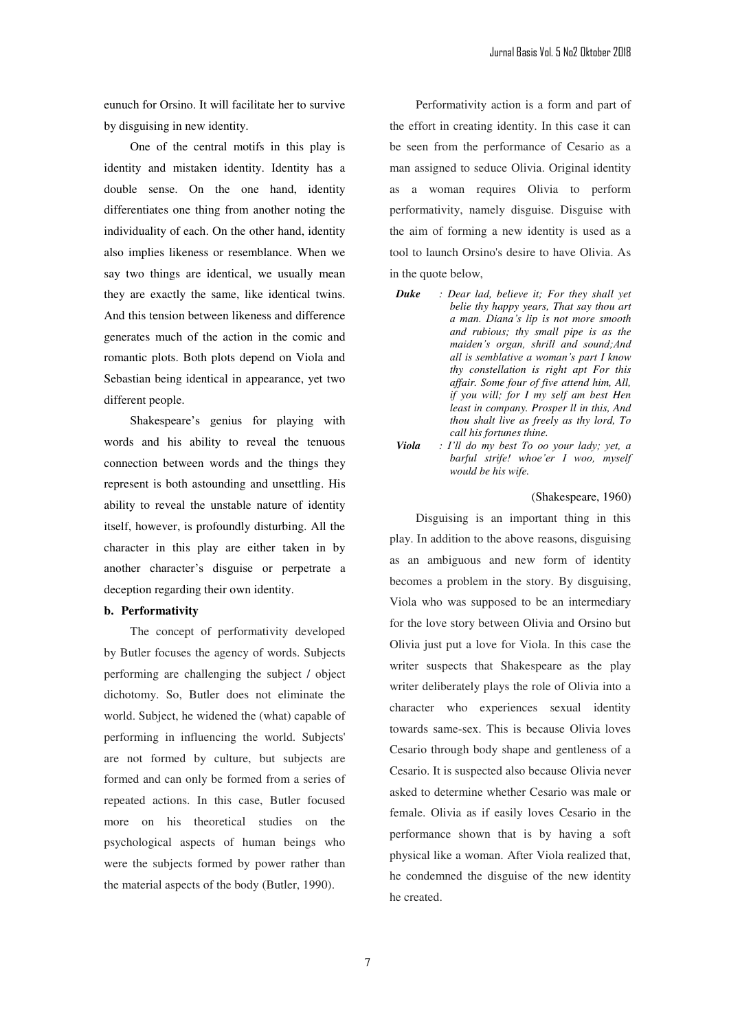eunuch for Orsino. It will facilitate her to survive by disguising in new identity.

One of the central motifs in this play is identity and mistaken identity. Identity has a double sense. On the one hand, identity differentiates one thing from another noting the individuality of each. On the other hand, identity also implies likeness or resemblance. When we say two things are identical, we usually mean they are exactly the same, like identical twins. And this tension between likeness and difference generates much of the action in the comic and romantic plots. Both plots depend on Viola and Sebastian being identical in appearance, yet two different people.

Shakespeare's genius for playing with words and his ability to reveal the tenuous connection between words and the things they represent is both astounding and unsettling. His ability to reveal the unstable nature of identity itself, however, is profoundly disturbing. All the character in this play are either taken in by another character's disguise or perpetrate a deception regarding their own identity.

#### **b. Performativity**

The concept of performativity developed by Butler focuses the agency of words. Subjects performing are challenging the subject / object dichotomy. So, Butler does not eliminate the world. Subject, he widened the (what) capable of performing in influencing the world. Subjects' are not formed by culture, but subjects are formed and can only be formed from a series of repeated actions. In this case, Butler focused more on his theoretical studies on the psychological aspects of human beings who were the subjects formed by power rather than the material aspects of the body (Butler, 1990).

Performativity action is a form and part of the effort in creating identity. In this case it can be seen from the performance of Cesario as a man assigned to seduce Olivia. Original identity as a woman requires Olivia to perform performativity, namely disguise. Disguise with the aim of forming a new identity is used as a tool to launch Orsino's desire to have Olivia. As in the quote below,

- *Duke : Dear lad, believe it; For they shall yet belie thy happy years, That say thou art*   $a$  man. Diana's lip is not more smooth *and rubious; thy small pipe is as the*  maiden's organ, shrill and sound; And *all is semblative a woman's part I know thy constellation is right apt For this affair. Some four of five attend him, All, if you will; for I my self am best Hen least in company. Prosper ll in this, And thou shalt live as freely as thy lord, To call his fortunes thine.*
- *Viola* : *I'll do my best To oo your lady; yet, a barful strife! whoe'er I woo, myself would be his wife.*

(Shakespeare, 1960)

Disguising is an important thing in this play. In addition to the above reasons, disguising as an ambiguous and new form of identity becomes a problem in the story. By disguising, Viola who was supposed to be an intermediary for the love story between Olivia and Orsino but Olivia just put a love for Viola. In this case the writer suspects that Shakespeare as the play writer deliberately plays the role of Olivia into a character who experiences sexual identity towards same-sex. This is because Olivia loves Cesario through body shape and gentleness of a Cesario. It is suspected also because Olivia never asked to determine whether Cesario was male or female. Olivia as if easily loves Cesario in the performance shown that is by having a soft physical like a woman. After Viola realized that, he condemned the disguise of the new identity he created.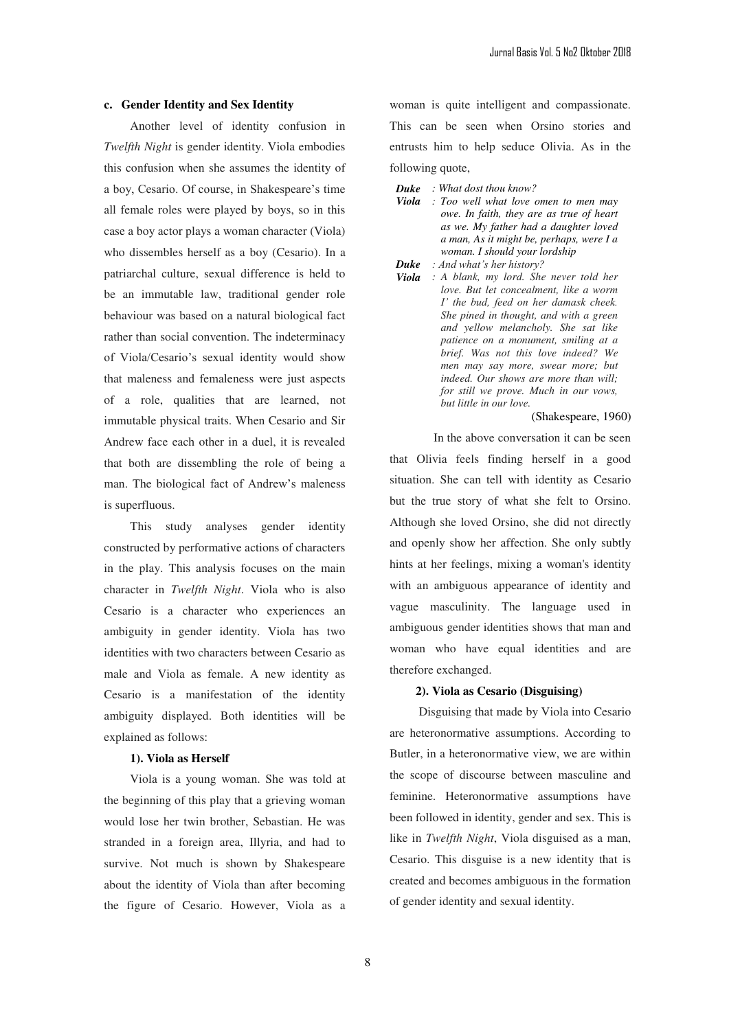# **c. Gender Identity and Sex Identity**

Another level of identity confusion in *Twelfth Night* is gender identity. Viola embodies this confusion when she assumes the identity of a boy, Cesario. Of course, in Shakespeare's time all female roles were played by boys, so in this case a boy actor plays a woman character (Viola) who dissembles herself as a boy (Cesario). In a patriarchal culture, sexual difference is held to be an immutable law, traditional gender role behaviour was based on a natural biological fact rather than social convention. The indeterminacy of Viola/Cesario's sexual identity would show that maleness and femaleness were just aspects of a role, qualities that are learned, not immutable physical traits. When Cesario and Sir Andrew face each other in a duel, it is revealed that both are dissembling the role of being a man. The biological fact of Andrew's maleness is superfluous.

This study analyses gender identity constructed by performative actions of characters in the play. This analysis focuses on the main character in *Twelfth Night*. Viola who is also Cesario is a character who experiences an ambiguity in gender identity. Viola has two identities with two characters between Cesario as male and Viola as female. A new identity as Cesario is a manifestation of the identity ambiguity displayed. Both identities will be explained as follows:

### **1). Viola as Herself**

Viola is a young woman. She was told at the beginning of this play that a grieving woman would lose her twin brother, Sebastian. He was stranded in a foreign area, Illyria, and had to survive. Not much is shown by Shakespeare about the identity of Viola than after becoming the figure of Cesario. However, Viola as a

woman is quite intelligent and compassionate. This can be seen when Orsino stories and entrusts him to help seduce Olivia. As in the following quote,

- *Duke : What dost thou know?*
- *Viola : Too well what love omen to men may owe. In faith, they are as true of heart as we. My father had a daughter loved a man, As it might be, perhaps, were I a woman. I should your lordship*
- *Duke* : And what's her history?
- *Viola : A blank, my lord. She never told her love. But let concealment, like a worm I' the bud, feed on her damask cheek. She pined in thought, and with a green and yellow melancholy. She sat like patience on a monument, smiling at a brief. Was not this love indeed? We men may say more, swear more; but indeed. Our shows are more than will; for still we prove. Much in our vows, but little in our love.*

#### (Shakespeare, 1960)

In the above conversation it can be seen that Olivia feels finding herself in a good situation. She can tell with identity as Cesario but the true story of what she felt to Orsino. Although she loved Orsino, she did not directly and openly show her affection. She only subtly hints at her feelings, mixing a woman's identity with an ambiguous appearance of identity and vague masculinity. The language used in ambiguous gender identities shows that man and woman who have equal identities and are therefore exchanged.

## **2). Viola as Cesario (Disguising)**

 Disguising that made by Viola into Cesario are heteronormative assumptions. According to Butler, in a heteronormative view, we are within the scope of discourse between masculine and feminine. Heteronormative assumptions have been followed in identity, gender and sex. This is like in *Twelfth Night*, Viola disguised as a man, Cesario. This disguise is a new identity that is created and becomes ambiguous in the formation of gender identity and sexual identity.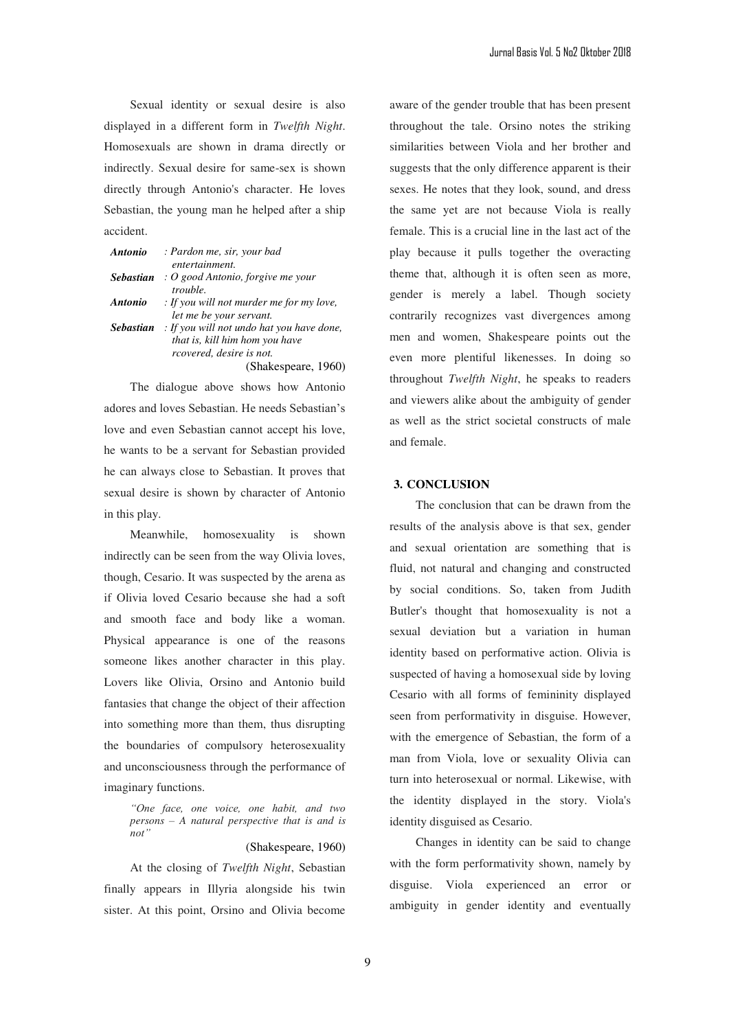Sexual identity or sexual desire is also displayed in a different form in *Twelfth Night*. Homosexuals are shown in drama directly or indirectly. Sexual desire for same-sex is shown directly through Antonio's character. He loves Sebastian, the young man he helped after a ship accident.

| <b>Antonio</b>   | : Pardon me, sir, your bad                     |
|------------------|------------------------------------------------|
|                  | entertainment.                                 |
| <b>Sebastian</b> | $\cdot$ O good Antonio, forgive me your        |
|                  | trouble.                                       |
| <b>Antonio</b>   | $\cdot$ If you will not murder me for my love, |
|                  | let me be your servant.                        |
| <b>Sebastian</b> | : If you will not undo hat you have done,      |
|                  | that is, kill him hom you have                 |
|                  | rcovered, desire is not.                       |
|                  | (Shakespeare, 1960)                            |

The dialogue above shows how Antonio adores and loves Sebastian. He needs Sebastian's love and even Sebastian cannot accept his love, he wants to be a servant for Sebastian provided he can always close to Sebastian. It proves that sexual desire is shown by character of Antonio in this play.

Meanwhile, homosexuality is shown indirectly can be seen from the way Olivia loves, though, Cesario. It was suspected by the arena as if Olivia loved Cesario because she had a soft and smooth face and body like a woman. Physical appearance is one of the reasons someone likes another character in this play. Lovers like Olivia, Orsino and Antonio build fantasies that change the object of their affection into something more than them, thus disrupting the boundaries of compulsory heterosexuality and unconsciousness through the performance of imaginary functions.

"One face, one voice, one habit, and two *persons ± A natural perspective that is and is*   $not'$ 

### (Shakespeare, 1960)

At the closing of *Twelfth Night*, Sebastian finally appears in Illyria alongside his twin sister. At this point, Orsino and Olivia become aware of the gender trouble that has been present throughout the tale. Orsino notes the striking similarities between Viola and her brother and suggests that the only difference apparent is their sexes. He notes that they look, sound, and dress the same yet are not because Viola is really female. This is a crucial line in the last act of the play because it pulls together the overacting theme that, although it is often seen as more, gender is merely a label. Though society contrarily recognizes vast divergences among men and women, Shakespeare points out the even more plentiful likenesses. In doing so throughout *Twelfth Night*, he speaks to readers and viewers alike about the ambiguity of gender as well as the strict societal constructs of male and female.

### **3. CONCLUSION**

The conclusion that can be drawn from the results of the analysis above is that sex, gender and sexual orientation are something that is fluid, not natural and changing and constructed by social conditions. So, taken from Judith Butler's thought that homosexuality is not a sexual deviation but a variation in human identity based on performative action. Olivia is suspected of having a homosexual side by loving Cesario with all forms of femininity displayed seen from performativity in disguise. However, with the emergence of Sebastian, the form of a man from Viola, love or sexuality Olivia can turn into heterosexual or normal. Likewise, with the identity displayed in the story. Viola's identity disguised as Cesario.

Changes in identity can be said to change with the form performativity shown, namely by disguise. Viola experienced an error or ambiguity in gender identity and eventually